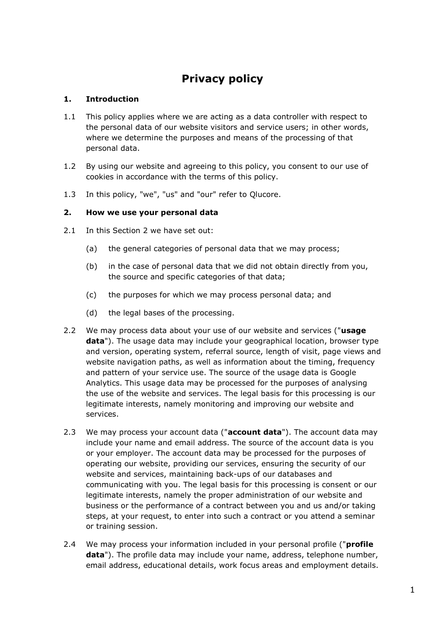# **Privacy policy**

## **1. Introduction**

- 1.1 This policy applies where we are acting as a data controller with respect to the personal data of our website visitors and service users; in other words, where we determine the purposes and means of the processing of that personal data.
- 1.2 By using our website and agreeing to this policy, you consent to our use of cookies in accordance with the terms of this policy.
- 1.3 In this policy, "we", "us" and "our" refer to Qlucore.

## **2. How we use your personal data**

- 2.1 In this Section 2 we have set out:
	- (a) the general categories of personal data that we may process;
	- (b) in the case of personal data that we did not obtain directly from you, the source and specific categories of that data;
	- (c) the purposes for which we may process personal data; and
	- (d) the legal bases of the processing.
- 2.2 We may process data about your use of our website and services ("**usage data**"). The usage data may include your geographical location, browser type and version, operating system, referral source, length of visit, page views and website navigation paths, as well as information about the timing, frequency and pattern of your service use. The source of the usage data is Google Analytics. This usage data may be processed for the purposes of analysing the use of the website and services. The legal basis for this processing is our legitimate interests, namely monitoring and improving our website and services.
- 2.3 We may process your account data ("**account data**"). The account data may include your name and email address. The source of the account data is you or your employer. The account data may be processed for the purposes of operating our website, providing our services, ensuring the security of our website and services, maintaining back-ups of our databases and communicating with you. The legal basis for this processing is consent or our legitimate interests, namely the proper administration of our website and business or the performance of a contract between you and us and/or taking steps, at your request, to enter into such a contract or you attend a seminar or training session.
- 2.4 We may process your information included in your personal profile ("**profile data**"). The profile data may include your name, address, telephone number, email address, educational details, work focus areas and employment details.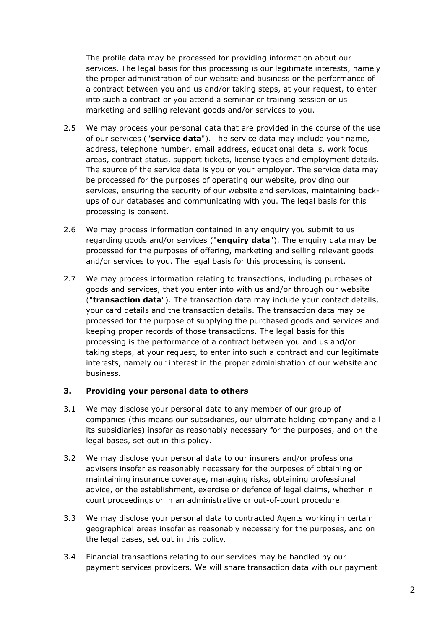The profile data may be processed for providing information about our services. The legal basis for this processing is our legitimate interests, namely the proper administration of our website and business or the performance of a contract between you and us and/or taking steps, at your request, to enter into such a contract or you attend a seminar or training session or us marketing and selling relevant goods and/or services to you.

- 2.5 We may process your personal data that are provided in the course of the use of our services ("**service data**"). The service data may include your name, address, telephone number, email address, educational details, work focus areas, contract status, support tickets, license types and employment details. The source of the service data is you or your employer. The service data may be processed for the purposes of operating our website, providing our services, ensuring the security of our website and services, maintaining backups of our databases and communicating with you. The legal basis for this processing is consent.
- 2.6 We may process information contained in any enquiry you submit to us regarding goods and/or services ("**enquiry data**"). The enquiry data may be processed for the purposes of offering, marketing and selling relevant goods and/or services to you. The legal basis for this processing is consent.
- 2.7 We may process information relating to transactions, including purchases of goods and services, that you enter into with us and/or through our website ("**transaction data**"). The transaction data may include your contact details, your card details and the transaction details. The transaction data may be processed for the purpose of supplying the purchased goods and services and keeping proper records of those transactions. The legal basis for this processing is the performance of a contract between you and us and/or taking steps, at your request, to enter into such a contract and our legitimate interests, namely our interest in the proper administration of our website and business.

#### **3. Providing your personal data to others**

- 3.1 We may disclose your personal data to any member of our group of companies (this means our subsidiaries, our ultimate holding company and all its subsidiaries) insofar as reasonably necessary for the purposes, and on the legal bases, set out in this policy.
- 3.2 We may disclose your personal data to our insurers and/or professional advisers insofar as reasonably necessary for the purposes of obtaining or maintaining insurance coverage, managing risks, obtaining professional advice, or the establishment, exercise or defence of legal claims, whether in court proceedings or in an administrative or out-of-court procedure.
- 3.3 We may disclose your personal data to contracted Agents working in certain geographical areas insofar as reasonably necessary for the purposes, and on the legal bases, set out in this policy*.*
- 3.4 Financial transactions relating to our services may be handled by our payment services providers. We will share transaction data with our payment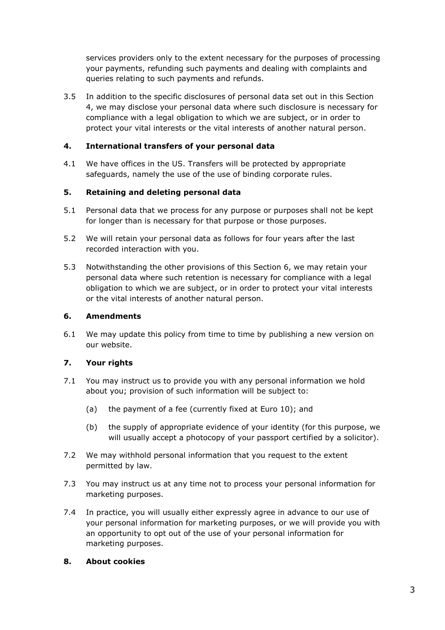services providers only to the extent necessary for the purposes of processing your payments, refunding such payments and dealing with complaints and queries relating to such payments and refunds.

3.5 In addition to the specific disclosures of personal data set out in this Section 4, we may disclose your personal data where such disclosure is necessary for compliance with a legal obligation to which we are subject, or in order to protect your vital interests or the vital interests of another natural person.

## **4. International transfers of your personal data**

4.1 We have offices in the US. Transfers will be protected by appropriate safeguards, namely the use of the use of binding corporate rules.

## **5. Retaining and deleting personal data**

- 5.1 Personal data that we process for any purpose or purposes shall not be kept for longer than is necessary for that purpose or those purposes.
- 5.2 We will retain your personal data as follows for four years after the last recorded interaction with you.
- 5.3 Notwithstanding the other provisions of this Section 6, we may retain your personal data where such retention is necessary for compliance with a legal obligation to which we are subject, or in order to protect your vital interests or the vital interests of another natural person.

### **6. Amendments**

6.1 We may update this policy from time to time by publishing a new version on our website.

### **7. Your rights**

- 7.1 You may instruct us to provide you with any personal information we hold about you; provision of such information will be subject to:
	- (a) the payment of a fee (currently fixed at Euro 10); and
	- (b) the supply of appropriate evidence of your identity (for this purpose, we will usually accept a photocopy of your passport certified by a solicitor).
- 7.2 We may withhold personal information that you request to the extent permitted by law.
- 7.3 You may instruct us at any time not to process your personal information for marketing purposes.
- 7.4 In practice, you will usually either expressly agree in advance to our use of your personal information for marketing purposes, or we will provide you with an opportunity to opt out of the use of your personal information for marketing purposes.

### **8. About cookies**